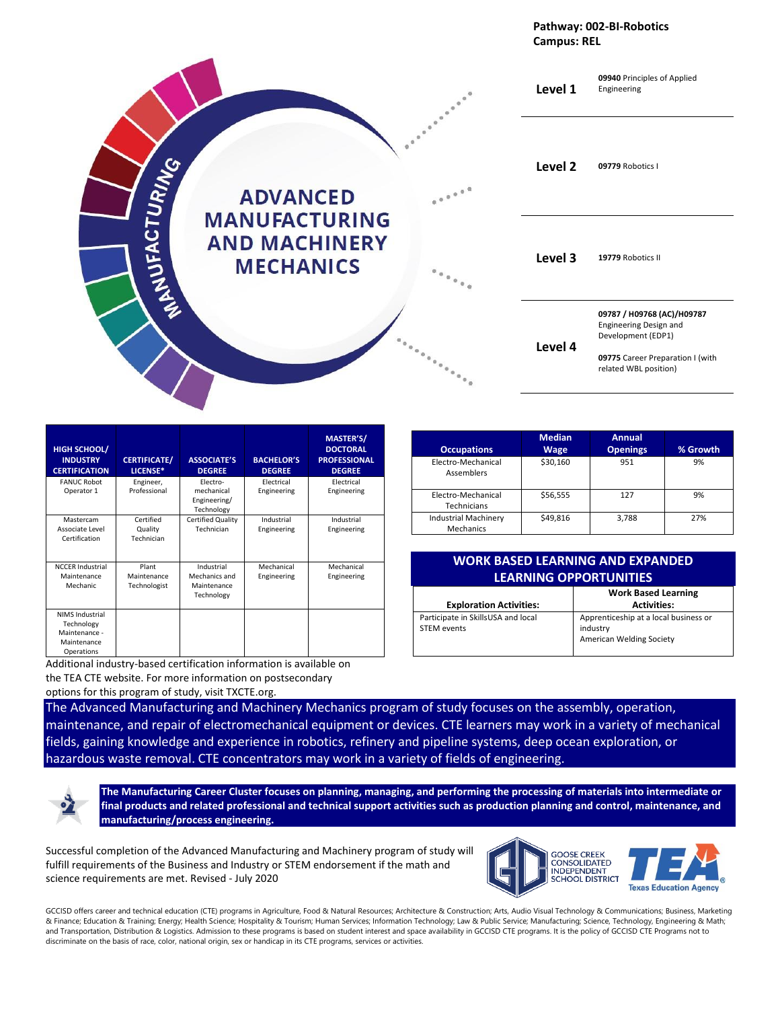|                |                                                                  | <b>Campus: REL</b> | Pathway: 002-BI-Robotics                                                                                                                |
|----------------|------------------------------------------------------------------|--------------------|-----------------------------------------------------------------------------------------------------------------------------------------|
|                |                                                                  | Level 1            | 09940 Principles of Applied<br>Engineering                                                                                              |
| <b>STURING</b> | <b>ADVANCED</b>                                                  | Level 2            | 09779 Robotics I                                                                                                                        |
| <b>MANUFAC</b> | <b>MANUFACTURING</b><br><b>AND MACHINERY</b><br><b>MECHANICS</b> | Level 3            | 19779 Robotics II                                                                                                                       |
|                |                                                                  | Level 4            | 09787 / H09768 (AC)/H09787<br>Engineering Design and<br>Development (EDP1)<br>09775 Career Preparation I (with<br>related WBL position) |

| HIGH SCHOOL/<br><b>INDUSTRY</b><br><b>CERTIFICATION</b>                                             | <b>CERTIFICATE/</b><br>LICENSE*      | <b>ASSOCIATE'S</b><br><b>DEGREE</b>                       | <b>BACHELOR'S</b><br><b>DEGREE</b> | MASTER'S/<br><b>DOCTORAL</b><br><b>PROFESSIONAL</b><br><b>DEGREE</b> |
|-----------------------------------------------------------------------------------------------------|--------------------------------------|-----------------------------------------------------------|------------------------------------|----------------------------------------------------------------------|
| <b>FANUC Robot</b><br>Operator 1                                                                    | Engineer,<br>Professional            | Electro-<br>mechanical<br>Engineering/<br>Technology      | Electrical<br>Engineering          | Electrical<br>Engineering                                            |
| Mastercam<br>Associate Level<br>Certification                                                       | Certified<br>Quality<br>Technician   | Certified Quality<br>Technician                           | Industrial<br>Engineering          | Industrial<br>Engineering                                            |
| <b>NCCER Industrial</b><br>Maintenance<br>Mechanic                                                  | Plant<br>Maintenance<br>Technologist | Industrial<br>Mechanics and<br>Maintenance<br>Technology  | Mechanical<br>Engineering          | Mechanical<br>Engineering                                            |
| <b>NIMS Industrial</b><br>Technology<br>Maintenance -<br>Maintenance<br>Operations<br>.<br>$\cdots$ |                                      | $\cdot \cdot \cdot$<br>$\cdot$ $\cdot$<br>$\cdot$ $\cdot$ |                                    |                                                                      |

|                                          | <b>Median</b> | <b>Annual</b>   |          |
|------------------------------------------|---------------|-----------------|----------|
| <b>Occupations</b>                       | <b>Wage</b>   | <b>Openings</b> | % Growth |
| Electro-Mechanical<br><b>Assemblers</b>  | \$30,160      | 951             | 9%       |
| Electro-Mechanical<br>Technicians        | \$56,555      | 127             | 9%       |
| <b>Industrial Machinery</b><br>Mechanics | \$49.816      | 3,788           | 27%      |

| <b>WORK BASED LEARNING AND EXPANDED</b> |                                       |  |  |
|-----------------------------------------|---------------------------------------|--|--|
| <b>LEARNING OPPORTUNITIES</b>           |                                       |  |  |
| <b>Work Based Learning</b>              |                                       |  |  |
| <b>Exploration Activities:</b>          | <b>Activities:</b>                    |  |  |
| Participate in SkillsUSA and local      | Apprenticeship at a local business or |  |  |
| STEM events                             | industry                              |  |  |

American Welding Society

Additional industry-based certification information is available on the TEA CTE website. For more information on postsecondary

options for this program of study, visit TXCTE.org.

The Advanced Manufacturing and Machinery Mechanics program of study focuses on the assembly, operation, maintenance, and repair of electromechanical equipment or devices. CTE learners may work in a variety of mechanical fields, gaining knowledge and experience in robotics, refinery and pipeline systems, deep ocean exploration, or hazardous waste removal. CTE concentrators may work in a variety of fields of engineering.



**The Manufacturing Career Cluster focuses on planning, managing, and performing the processing of materials into intermediate or final products and related professional and technical support activities such as production planning and control, maintenance, and manufacturing/process engineering.**

Successful completion of the Advanced Manufacturing and Machinery program of study will fulfill requirements of the Business and Industry or STEM endorsement if the math and science requirements are met. Revised - July 2020



GCCISD offers career and technical education (CTE) programs in Agriculture, Food & Natural Resources; Architecture & Construction; Arts, Audio Visual Technology & Communications; Business, Marketing & Finance; Education & Training; Energy; Health Science; Hospitality & Tourism; Human Services; Information Technology; Law & Public Service; Manufacturing; Science, Technology, Engineering & Math; and Transportation, Distribution & Logistics. Admission to these programs is based on student interest and space availability in GCCISD CTE programs. It is the policy of GCCISD CTE Programs not to discriminate on the basis of race, color, national origin, sex or handicap in its CTE programs, services or activities.

## **WORK BASED LEARNING AND EXPANDED**